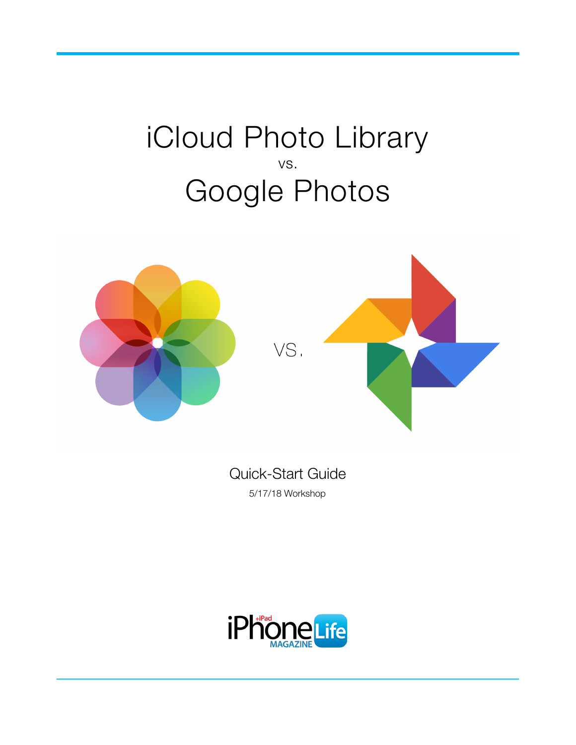# iCloud Photo Library vs. Google Photos



Quick-Start Guide 5/17/18 Workshop

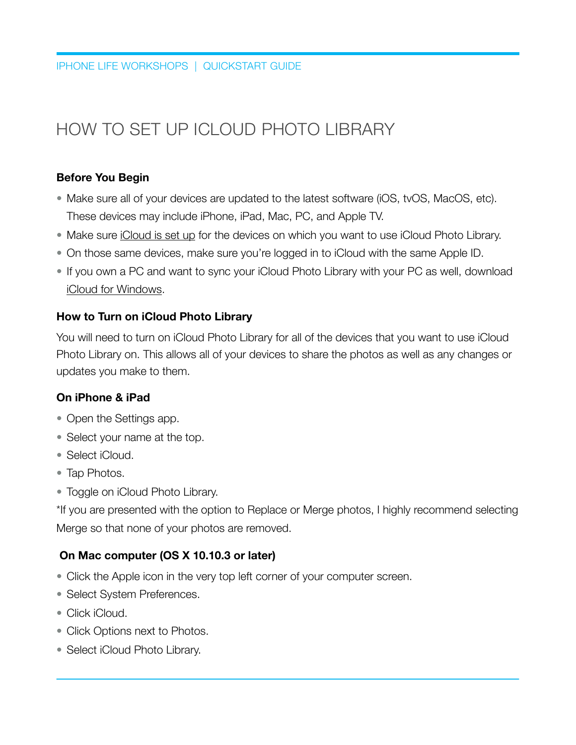# HOW TO SET UP ICLOUD PHOTO LIBRARY

## **Before You Begin**

- Make sure all of your devices are updated to the latest software (iOS, tvOS, MacOS, etc). These devices may include iPhone, iPad, Mac, PC, and Apple TV.
- Make sure [iCloud is set up](https://support.apple.com/en-us/HT208681) for the devices on which you want to use iCloud Photo Library.
- On those same devices, make sure you're logged in to iCloud with the same Apple ID.
- If you own a PC and want to sync your iCloud Photo Library with your PC as well, download [iCloud for Windows](https://support.apple.com/en-us/HT204283).

### **How to Turn on iCloud Photo Library**

You will need to turn on iCloud Photo Library for all of the devices that you want to use iCloud Photo Library on. This allows all of your devices to share the photos as well as any changes or updates you make to them.

### **On iPhone & iPad**

- Open the Settings app.
- Select your name at the top.
- Select iCloud.
- Tap Photos.
- Toggle on iCloud Photo Library.

\*If you are presented with the option to Replace or Merge photos, I highly recommend selecting Merge so that none of your photos are removed.

# **On Mac computer (OS X 10.10.3 or later)**

- Click the Apple icon in the very top left corner of your computer screen.
- Select System Preferences.
- Click iCloud.
- Click Options next to Photos.
- Select iCloud Photo Library.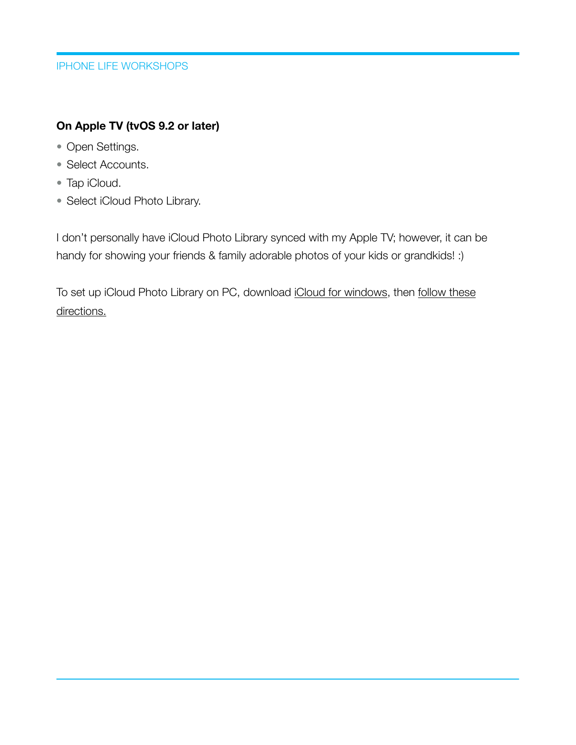# **On Apple TV (tvOS 9.2 or later)**

- Open Settings.
- Select Accounts.
- Tap iCloud.
- Select iCloud Photo Library.

I don't personally have iCloud Photo Library synced with my Apple TV; however, it can be handy for showing your friends & family adorable photos of your kids or grandkids! :)

To set up iCloud Photo Library on PC, download [iCloud for windows,](https://support.apple.com/en-us/HT204283) then [follow these](https://support.apple.com/en-us/HT205323)  [directions.](https://support.apple.com/en-us/HT205323)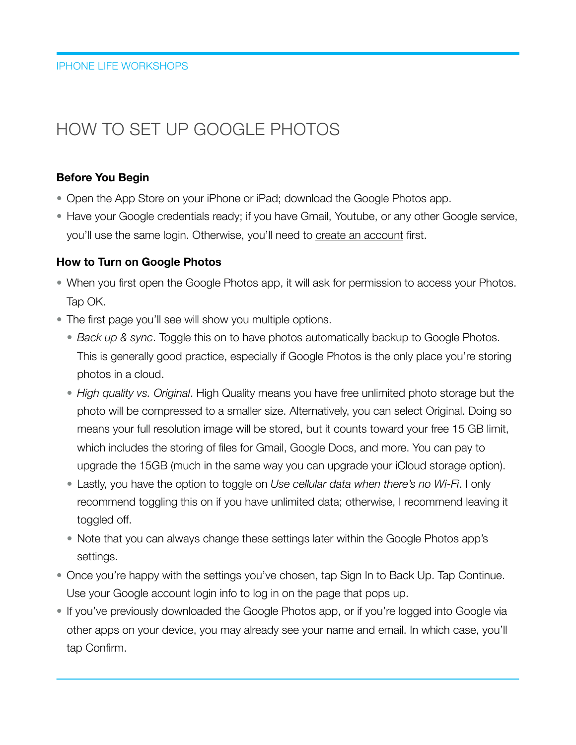# HOW TO SET UP GOOGLE PHOTOS

#### **Before You Begin**

- Open the App Store on your iPhone or iPad; download the Google Photos app.
- Have your Google credentials ready; if you have Gmail, Youtube, or any other Google service, you'll use the same login. Otherwise, you'll need to [create an account](https://support.google.com/accounts/answer/27441?hl=en) first.

#### **How to Turn on Google Photos**

- When you first open the Google Photos app, it will ask for permission to access your Photos. Tap OK.
- The first page you'll see will show you multiple options.
	- *Back up & sync*. Toggle this on to have photos automatically backup to Google Photos. This is generally good practice, especially if Google Photos is the only place you're storing photos in a cloud.
	- *High quality vs. Original*. High Quality means you have free unlimited photo storage but the photo will be compressed to a smaller size. Alternatively, you can select Original. Doing so means your full resolution image will be stored, but it counts toward your free 15 GB limit, which includes the storing of files for Gmail, Google Docs, and more. You can pay to upgrade the 15GB (much in the same way you can upgrade your iCloud storage option).
	- Lastly, you have the option to toggle on *Use cellular data when there's no Wi-Fi*. I only recommend toggling this on if you have unlimited data; otherwise, I recommend leaving it toggled off.
	- Note that you can always change these settings later within the Google Photos app's settings.
- Once you're happy with the settings you've chosen, tap Sign In to Back Up. Tap Continue. Use your Google account login info to log in on the page that pops up.
- If you've previously downloaded the Google Photos app, or if you're logged into Google via other apps on your device, you may already see your name and email. In which case, you'll tap Confirm.